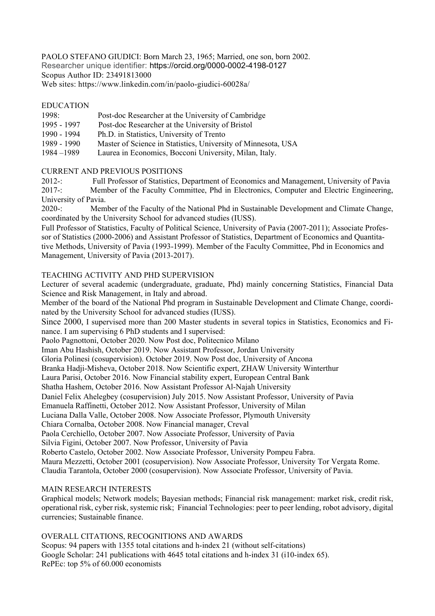PAOLO STEFANO GIUDICI: Born March 23, 1965; Married, one son, born 2002. Researcher unique identifier: https://orcid.org/0000-0002-4198-0127 Scopus Author ID: 23491813000 Web sites: https://www.linkedin.com/in/paolo-giudici-60028a/

## EDUCATION

| 1998:         | Post-doc Researcher at the University of Cambridge            |
|---------------|---------------------------------------------------------------|
| 1995 - 1997   | Post-doc Researcher at the University of Bristol              |
| 1990 - 1994   | Ph.D. in Statistics, University of Trento                     |
| 1989 - 1990   | Master of Science in Statistics, University of Minnesota, USA |
| $1984 - 1989$ | Laurea in Economics, Bocconi University, Milan, Italy.        |

# CURRENT AND PREVIOUS POSITIONS

2012-: Full Professor of Statistics, Department of Economics and Management, University of Pavia 2017-: Member of the Faculty Committee, Phd in Electronics, Computer and Electric Engineering, University of Pavia.

2020-: Member of the Faculty of the National Phd in Sustainable Development and Climate Change, coordinated by the University School for advanced studies (IUSS).

Full Professor of Statistics, Faculty of Political Science, University of Pavia (2007-2011); Associate Professor of Statistics (2000-2006) and Assistant Professor of Statistics, Department of Economics and Quantitative Methods, University of Pavia (1993-1999). Member of the Faculty Committee, Phd in Economics and Management, University of Pavia (2013-2017).

# TEACHING ACTIVITY AND PHD SUPERVISION

Lecturer of several academic (undergraduate, graduate, Phd) mainly concerning Statistics, Financial Data Science and Risk Management, in Italy and abroad.

Member of the board of the National Phd program in Sustainable Development and Climate Change, coordinated by the University School for advanced studies (IUSS).

Since 2000, I supervised more than 200 Master students in several topics in Statistics, Economics and Finance. I am supervising 6 PhD students and I supervised:

Paolo Pagnottoni, October 2020. Now Post doc, Politecnico Milano

Iman Abu Hashish, October 2019. Now Assistant Professor, Jordan University

Gloria Polinesi (cosupervision). October 2019. Now Post doc, University of Ancona

Branka Hadji-Misheva, October 2018. Now Scientific expert, ZHAW University Winterthur

Laura Parisi, October 2016. Now Financial stability expert, European Central Bank

Shatha Hashem, October 2016. Now Assistant Professor Al-Najah University

Daniel Felix Ahelegbey (cosupervision) July 2015. Now Assistant Professor, University of Pavia

Emanuela Raffinetti, October 2012. Now Assistant Professor, University of Milan

Luciana Dalla Valle, October 2008. Now Associate Professor, Plymouth University

Chiara Cornalba, October 2008. Now Financial manager, Creval

Paola Cerchiello, October 2007. Now Associate Professor, University of Pavia

Silvia Figini, October 2007. Now Professor, University of Pavia

Roberto Castelo, October 2002. Now Associate Professor, University Pompeu Fabra.

Maura Mezzetti, October 2001 (cosupervision). Now Associate Professor, University Tor Vergata Rome.

Claudia Tarantola, October 2000 (cosupervision). Now Associate Professor, University of Pavia.

### MAIN RESEARCH INTERESTS

Graphical models; Network models; Bayesian methods; Financial risk management: market risk, credit risk, operational risk, cyber risk, systemic risk; Financial Technologies: peer to peer lending, robot advisory, digital currencies; Sustainable finance.

## OVERALL CITATIONS, RECOGNITIONS AND AWARDS

Scopus: 94 papers with 1355 total citations and h-index 21 (without self-citations) Google Scholar: 241 publications with 4645 total citations and h-index 31 (i10-index 65). RePEc: top 5% of 60.000 economists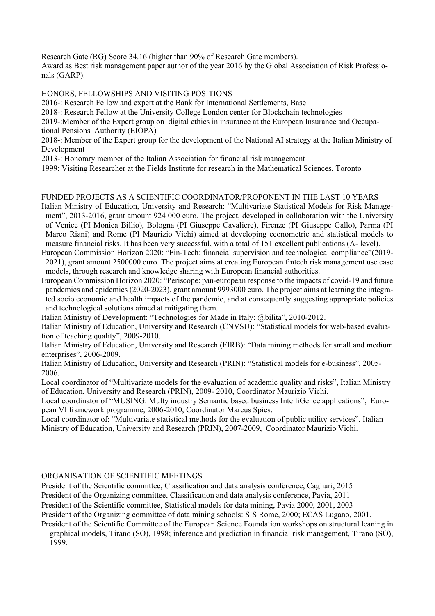Research Gate (RG) Score 34.16 (higher than 90% of Research Gate members).

Award as Best risk management paper author of the year 2016 by the Global Association of Risk Professionals (GARP).

### HONORS, FELLOWSHIPS AND VISITING POSITIONS

2016-: Research Fellow and expert at the Bank for International Settlements, Basel

2018-: Research Fellow at the University College London center for Blockchain technologies

2019-:Member of the Expert group on digital ethics in insurance at the European Insurance and Occupational Pensions Authority (EIOPA)

2018-: Member of the Expert group for the development of the National AI strategy at the Italian Ministry of Development

2013-: Honorary member of the Italian Association for financial risk management

1999: Visiting Researcher at the Fields Institute for research in the Mathematical Sciences, Toronto

### FUNDED PROJECTS AS A SCIENTIFIC COORDINATOR/PROPONENT IN THE LAST 10 YEARS

Italian Ministry of Education, University and Research: "Multivariate Statistical Models for Risk Management", 2013-2016, grant amount 924 000 euro. The project, developed in collaboration with the University of Venice (PI Monica Billio), Bologna (PI Giuseppe Cavaliere), Firenze (PI Giuseppe Gallo), Parma (PI Marco Riani) and Rome (PI Maurizio Vichi) aimed at developing econometric and statistical models to measure financial risks. It has been very successful, with a total of 151 excellent publications (A- level).

European Commission Horizon 2020: "Fin-Tech: financial supervision and technological compliance"(2019- 2021), grant amount 2500000 euro. The project aims at creating European fintech risk management use case models, through research and knowledge sharing with European financial authorities.

European Commission Horizon 2020: "Periscope: pan-european response to the impacts of covid-19 and future pandemics and epidemics (2020-2023), grant amount 9993000 euro. The project aims at learning the integrated socio economic and health impacts of the pandemic, and at consequently suggesting appropriate policies and technological solutions aimed at mitigating them.

Italian Ministry of Development: "Technologies for Made in Italy: @bilita", 2010-2012.

Italian Ministry of Education, University and Research (CNVSU): "Statistical models for web-based evaluation of teaching quality", 2009-2010.

Italian Ministry of Education, University and Research (FIRB): "Data mining methods for small and medium enterprises", 2006-2009.

Italian Ministry of Education, University and Research (PRIN): "Statistical models for e-business", 2005- 2006.

Local coordinator of "Multivariate models for the evaluation of academic quality and risks", Italian Ministry of Education, University and Research (PRIN), 2009- 2010, Coordinator Maurizio Vichi.

Local coordinator of "MUSING: Multy industry Semantic based business IntelliGence applications", European VI framework programme, 2006-2010, Coordinator Marcus Spies.

Local coordinator of: "Multivariate statistical methods for the evaluation of public utility services", Italian Ministry of Education, University and Research (PRIN), 2007-2009, Coordinator Maurizio Vichi.

#### ORGANISATION OF SCIENTIFIC MEETINGS

President of the Scientific committee, Classification and data analysis conference, Cagliari, 2015

President of the Organizing committee, Classification and data analysis conference, Pavia, 2011

President of the Scientific committee, Statistical models for data mining, Pavia 2000, 2001, 2003

President of the Organizing committee of data mining schools: SIS Rome, 2000; ECAS Lugano, 2001.

President of the Scientific Committee of the European Science Foundation workshops on structural leaning in graphical models, Tirano (SO), 1998; inference and prediction in financial risk management, Tirano (SO), 1999.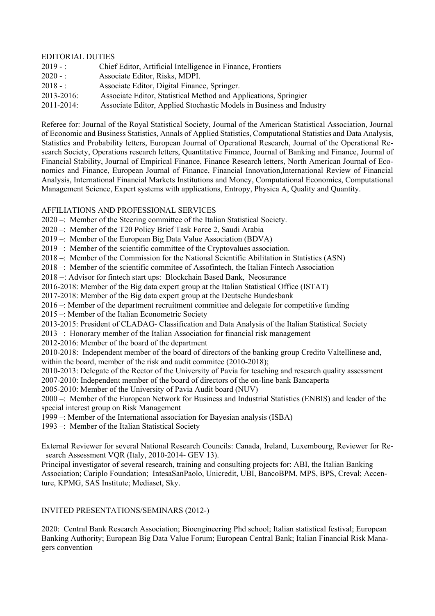## EDITORIAL DUTIES

| $2019 - :$ | Chief Editor, Artificial Intelligence in Finance, Frontiers          |
|------------|----------------------------------------------------------------------|
| $2020 - :$ | Associate Editor, Risks, MDPI.                                       |
| $2018 - :$ | Associate Editor, Digital Finance, Springer.                         |
| 2013-2016: | Associate Editor, Statistical Method and Applications, Springier     |
| 2011-2014: | Associate Editor, Applied Stochastic Models in Business and Industry |

Referee for: Journal of the Royal Statistical Society, Journal of the American Statistical Association, Journal of Economic and Business Statistics, Annals of Applied Statistics, Computational Statistics and Data Analysis, Statistics and Probability letters, European Journal of Operational Research, Journal of the Operational Research Society, Operations research letters, Quantitative Finance, Journal of Banking and Finance, Journal of Financial Stability, Journal of Empirical Finance, Finance Research letters, North American Journal of Economics and Finance, European Journal of Finance, Financial Innovation,International Review of Financial Analysis, International Financial Markets Institutions and Money, Computational Economics, Computational Management Science, Expert systems with applications, Entropy, Physica A, Quality and Quantity.

### AFFILIATIONS AND PROFESSIONAL SERVICES

- 2020 –: Member of the Steering committee of the Italian Statistical Society.
- 2020 –: Member of the T20 Policy Brief Task Force 2, Saudi Arabia
- 2019 –: Member of the European Big Data Value Association (BDVA)
- 2019 –: Member of the scientific committee of the Cryptovalues association.
- 2018 –: Member of the Commission for the National Scientific Abilitation in Statistics (ASN)
- 2018 –: Member of the scientific commitee of Assofintech, the Italian Fintech Association
- 2018 –: Advisor for fintech start ups: Blockchain Based Bank, Neosurance
- 2016-2018: Member of the Big data expert group at the Italian Statistical Office (ISTAT)
- 2017-2018: Member of the Big data expert group at the Deutsche Bundesbank
- 2016 –: Member of the department recruitment committee and delegate for competitive funding
- 2015 –: Member of the Italian Econometric Society
- 2013-2015: President of CLADAG- Classification and Data Analysis of the Italian Statistical Society
- 2013 –: Honorary member of the Italian Association for financial risk management
- 2012-2016: Member of the board of the department

2010-2018: Independent member of the board of directors of the banking group Credito Valtellinese and, within the board, member of the risk and audit commitee (2010-2018);

2010-2013: Delegate of the Rector of the University of Pavia for teaching and research quality assessment

2007-2010: Independent member of the board of directors of the on-line bank Bancaperta

2005-2010: Member of the University of Pavia Audit board (NUV)

2000 –: Member of the European Network for Business and Industrial Statistics (ENBIS) and leader of the special interest group on Risk Management

- 1999 –: Member of the International association for Bayesian analysis (ISBA)
- 1993 –: Member of the Italian Statistical Society

External Reviewer for several National Research Councils: Canada, Ireland, Luxembourg, Reviewer for Research Assessment VQR (Italy, 2010-2014- GEV 13).

Principal investigator of several research, training and consulting projects for: ABI, the Italian Banking Association; Cariplo Foundation; IntesaSanPaolo, Unicredit, UBI, BancoBPM, MPS, BPS, Creval; Accenture, KPMG, SAS Institute; Mediaset, Sky.

### INVITED PRESENTATIONS/SEMINARS (2012-)

2020: Central Bank Research Association; Bioengineering Phd school; Italian statistical festival; European Banking Authority; European Big Data Value Forum; European Central Bank; Italian Financial Risk Managers convention